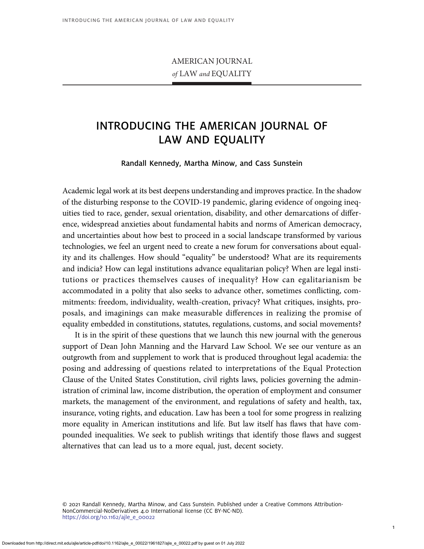## AMERICAN JOURNAL of LAW and EQUALITY

## INTRODUCING THE AMERICAN JOURNAL OF LAW AND EQUALITY

## Randall Kennedy, Martha Minow, and Cass Sunstein

Academic legal work at its best deepens understanding and improves practice. In the shadow of the disturbing response to the COVID-19 pandemic, glaring evidence of ongoing inequities tied to race, gender, sexual orientation, disability, and other demarcations of difference, widespread anxieties about fundamental habits and norms of American democracy, and uncertainties about how best to proceed in a social landscape transformed by various technologies, we feel an urgent need to create a new forum for conversations about equality and its challenges. How should "equality" be understood? What are its requirements and indicia? How can legal institutions advance equalitarian policy? When are legal institutions or practices themselves causes of inequality? How can egalitarianism be accommodated in a polity that also seeks to advance other, sometimes conflicting, commitments: freedom, individuality, wealth-creation, privacy? What critiques, insights, proposals, and imaginings can make measurable differences in realizing the promise of equality embedded in constitutions, statutes, regulations, customs, and social movements?

It is in the spirit of these questions that we launch this new journal with the generous support of Dean John Manning and the Harvard Law School. We see our venture as an outgrowth from and supplement to work that is produced throughout legal academia: the posing and addressing of questions related to interpretations of the Equal Protection Clause of the United States Constitution, civil rights laws, policies governing the administration of criminal law, income distribution, the operation of employment and consumer markets, the management of the environment, and regulations of safety and health, tax, insurance, voting rights, and education. Law has been a tool for some progress in realizing more equality in American institutions and life. But law itself has flaws that have compounded inequalities. We seek to publish writings that identify those flaws and suggest alternatives that can lead us to a more equal, just, decent society.

© 2021 Randall Kennedy, Martha Minow, and Cass Sunstein. Published under a Creative Commons Attribution-NonCommercial-NoDerivatives 4.0 International license (CC BY-NC-ND). [https://doi.org/10.1162/ajle\\_e\\_00022](https://doi.org/10.1162/ajle_e_00022)